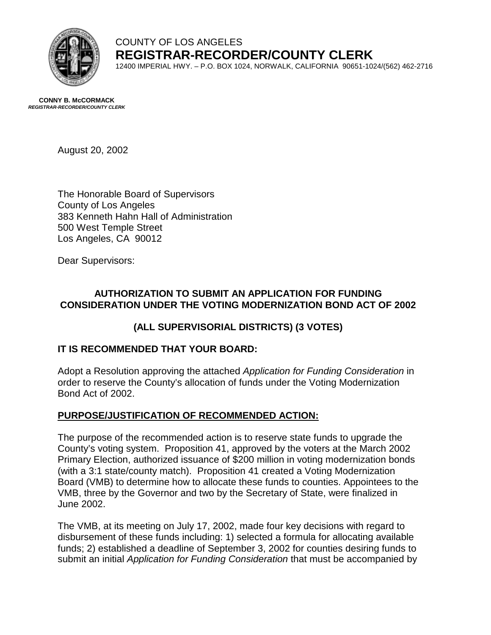

# COUNTY OF LOS ANGELES **REGISTRAR-RECORDER/COUNTY CLERK**

12400 IMPERIAL HWY. – P.O. BOX 1024, NORWALK, CALIFORNIA 90651-1024/(562) 462-2716

**CONNY B. McCORMACK** *REGISTRAR-RECORDER/COUNTY CLERK* 

August 20, 2002

The Honorable Board of Supervisors County of Los Angeles 383 Kenneth Hahn Hall of Administration 500 West Temple Street Los Angeles, CA 90012

Dear Supervisors:

### **AUTHORIZATION TO SUBMIT AN APPLICATION FOR FUNDING CONSIDERATION UNDER THE VOTING MODERNIZATION BOND ACT OF 2002**

## **(ALL SUPERVISORIAL DISTRICTS) (3 VOTES)**

## **IT IS RECOMMENDED THAT YOUR BOARD:**

Adopt a Resolution approving the attached *Application for Funding Consideration* in order to reserve the County's allocation of funds under the Voting Modernization Bond Act of 2002.

## **PURPOSE/JUSTIFICATION OF RECOMMENDED ACTION:**

The purpose of the recommended action is to reserve state funds to upgrade the County's voting system. Proposition 41, approved by the voters at the March 2002 Primary Election, authorized issuance of \$200 million in voting modernization bonds (with a 3:1 state/county match). Proposition 41 created a Voting Modernization Board (VMB) to determine how to allocate these funds to counties. Appointees to the VMB, three by the Governor and two by the Secretary of State, were finalized in June 2002.

The VMB, at its meeting on July 17, 2002, made four key decisions with regard to disbursement of these funds including: 1) selected a formula for allocating available funds; 2) established a deadline of September 3, 2002 for counties desiring funds to submit an initial *Application for Funding Consideration* that must be accompanied by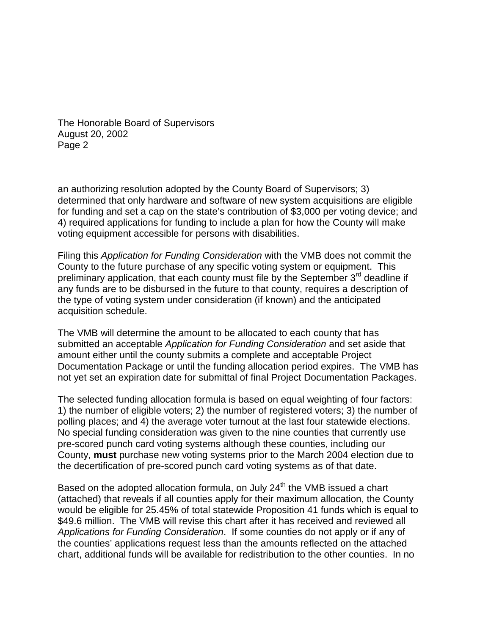The Honorable Board of Supervisors August 20, 2002 Page 2

an authorizing resolution adopted by the County Board of Supervisors; 3) determined that only hardware and software of new system acquisitions are eligible for funding and set a cap on the state's contribution of \$3,000 per voting device; and 4) required applications for funding to include a plan for how the County will make voting equipment accessible for persons with disabilities.

Filing this *Application for Funding Consideration* with the VMB does not commit the County to the future purchase of any specific voting system or equipment. This preliminary application, that each county must file by the September  $3<sup>rd</sup>$  deadline if any funds are to be disbursed in the future to that county, requires a description of the type of voting system under consideration (if known) and the anticipated acquisition schedule.

The VMB will determine the amount to be allocated to each county that has submitted an acceptable *Application for Funding Consideration* and set aside that amount either until the county submits a complete and acceptable Project Documentation Package or until the funding allocation period expires. The VMB has not yet set an expiration date for submittal of final Project Documentation Packages.

The selected funding allocation formula is based on equal weighting of four factors: 1) the number of eligible voters; 2) the number of registered voters; 3) the number of polling places; and 4) the average voter turnout at the last four statewide elections. No special funding consideration was given to the nine counties that currently use pre-scored punch card voting systems although these counties, including our County, **must** purchase new voting systems prior to the March 2004 election due to the decertification of pre-scored punch card voting systems as of that date.

Based on the adopted allocation formula, on July  $24<sup>th</sup>$  the VMB issued a chart (attached) that reveals if all counties apply for their maximum allocation, the County would be eligible for 25.45% of total statewide Proposition 41 funds which is equal to \$49.6 million. The VMB will revise this chart after it has received and reviewed all *Applications for Funding Consideration*. If some counties do not apply or if any of the counties' applications request less than the amounts reflected on the attached chart, additional funds will be available for redistribution to the other counties. In no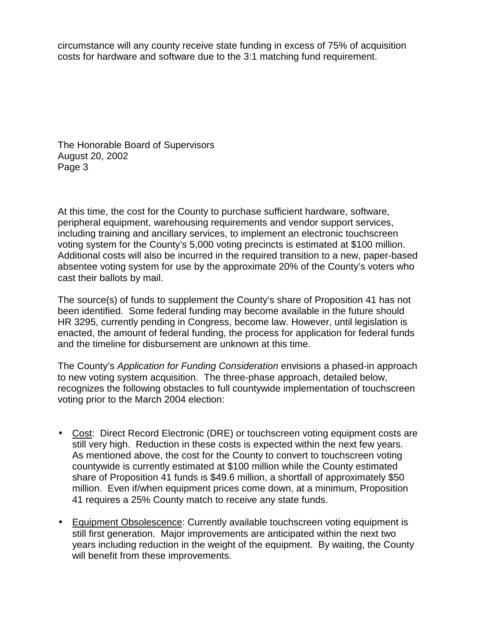circumstance will any county receive state funding in excess of 75% of acquisition costs for hardware and software due to the 3:1 matching fund requirement.

The Honorable Board of Supervisors August 20, 2002 Page 3

At this time, the cost for the County to purchase sufficient hardware, software, peripheral equipment, warehousing requirements and vendor support services, including training and ancillary services, to implement an electronic touchscreen voting system for the County's 5,000 voting precincts is estimated at \$100 million. Additional costs will also be incurred in the required transition to a new, paper-based absentee voting system for use by the approximate 20% of the County's voters who cast their ballots by mail.

The source(s) of funds to supplement the County's share of Proposition 41 has not been identified. Some federal funding may become available in the future should HR 3295, currently pending in Congress, become law. However, until legislation is enacted, the amount of federal funding, the process for application for federal funds and the timeline for disbursement are unknown at this time.

The County's *Application for Funding Consideration* envisions a phased-in approach to new voting system acquisition. The three-phase approach, detailed below, recognizes the following obstacles to full countywide implementation of touchscreen voting prior to the March 2004 election:

- Cost: Direct Record Electronic (DRE) or touchscreen voting equipment costs are still very high. Reduction in these costs is expected within the next few years. As mentioned above, the cost for the County to convert to touchscreen voting countywide is currently estimated at \$100 million while the County estimated share of Proposition 41 funds is \$49.6 million, a shortfall of approximately \$50 million. Even if/when equipment prices come down, at a minimum, Proposition 41 requires a 25% County match to receive any state funds.
- Equipment Obsolescence: Currently available touchscreen voting equipment is still first generation. Major improvements are anticipated within the next two years including reduction in the weight of the equipment. By waiting, the County will benefit from these improvements.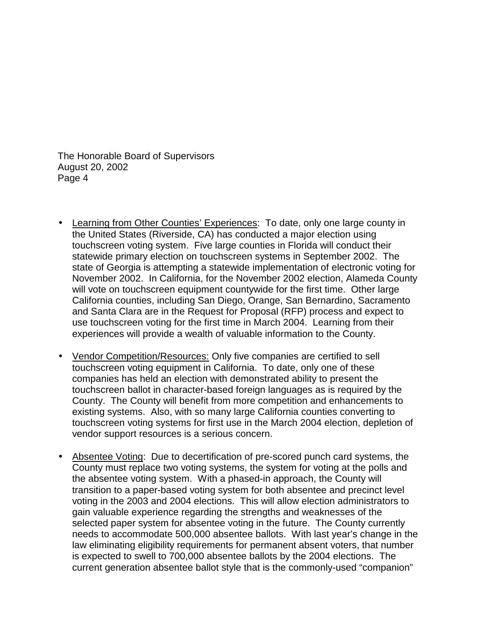The Honorable Board of Supervisors August 20, 2002 Page 4

- Learning from Other Counties' Experiences: To date, only one large county in the United States (Riverside, CA) has conducted a major election using touchscreen voting system. Five large counties in Florida will conduct their statewide primary election on touchscreen systems in September 2002. The state of Georgia is attempting a statewide implementation of electronic voting for November 2002. In California, for the November 2002 election, Alameda County will vote on touchscreen equipment countywide for the first time. Other large California counties, including San Diego, Orange, San Bernardino, Sacramento and Santa Clara are in the Request for Proposal (RFP) process and expect to use touchscreen voting for the first time in March 2004. Learning from their experiences will provide a wealth of valuable information to the County.
- Vendor Competition/Resources: Only five companies are certified to sell touchscreen voting equipment in California. To date, only one of these companies has held an election with demonstrated ability to present the touchscreen ballot in character-based foreign languages as is required by the County. The County will benefit from more competition and enhancements to existing systems. Also, with so many large California counties converting to touchscreen voting systems for first use in the March 2004 election, depletion of vendor support resources is a serious concern.
- Absentee Voting: Due to decertification of pre-scored punch card systems, the County must replace two voting systems, the system for voting at the polls and the absentee voting system. With a phased-in approach, the County will transition to a paper-based voting system for both absentee and precinct level voting in the 2003 and 2004 elections. This will allow election administrators to gain valuable experience regarding the strengths and weaknesses of the selected paper system for absentee voting in the future. The County currently needs to accommodate 500,000 absentee ballots. With last year's change in the law eliminating eligibility requirements for permanent absent voters, that number is expected to swell to 700,000 absentee ballots by the 2004 elections. The current generation absentee ballot style that is the commonly-used "companion"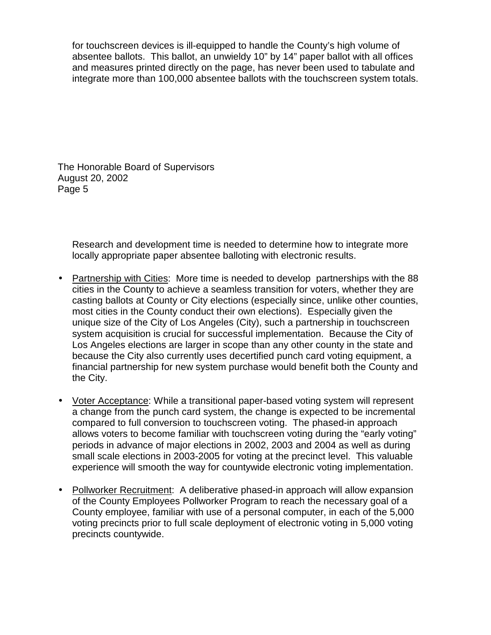for touchscreen devices is ill-equipped to handle the County's high volume of absentee ballots. This ballot, an unwieldy 10" by 14" paper ballot with all offices and measures printed directly on the page, has never been used to tabulate and integrate more than 100,000 absentee ballots with the touchscreen system totals.

The Honorable Board of Supervisors August 20, 2002 Page 5

Research and development time is needed to determine how to integrate more locally appropriate paper absentee balloting with electronic results.

- Partnership with Cities: More time is needed to develop partnerships with the 88 cities in the County to achieve a seamless transition for voters, whether they are casting ballots at County or City elections (especially since, unlike other counties, most cities in the County conduct their own elections). Especially given the unique size of the City of Los Angeles (City), such a partnership in touchscreen system acquisition is crucial for successful implementation. Because the City of Los Angeles elections are larger in scope than any other county in the state and because the City also currently uses decertified punch card voting equipment, a financial partnership for new system purchase would benefit both the County and the City.
- Voter Acceptance: While a transitional paper-based voting system will represent a change from the punch card system, the change is expected to be incremental compared to full conversion to touchscreen voting. The phased-in approach allows voters to become familiar with touchscreen voting during the "early voting" periods in advance of major elections in 2002, 2003 and 2004 as well as during small scale elections in 2003-2005 for voting at the precinct level. This valuable experience will smooth the way for countywide electronic voting implementation.
- Pollworker Recruitment: A deliberative phased-in approach will allow expansion of the County Employees Pollworker Program to reach the necessary goal of a County employee, familiar with use of a personal computer, in each of the 5,000 voting precincts prior to full scale deployment of electronic voting in 5,000 voting precincts countywide.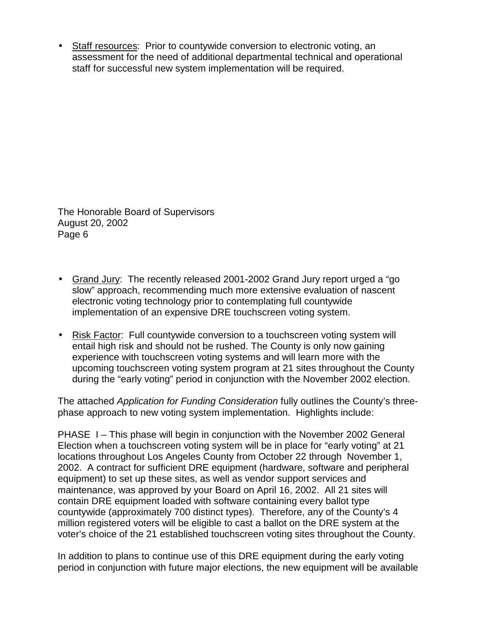• Staff resources: Prior to countywide conversion to electronic voting, an assessment for the need of additional departmental technical and operational staff for successful new system implementation will be required.

The Honorable Board of Supervisors August 20, 2002 Page 6

- Grand Jury: The recently released 2001-2002 Grand Jury report urged a "go slow" approach, recommending much more extensive evaluation of nascent electronic voting technology prior to contemplating full countywide implementation of an expensive DRE touchscreen voting system.
- Risk Factor: Full countywide conversion to a touchscreen voting system will entail high risk and should not be rushed. The County is only now gaining experience with touchscreen voting systems and will learn more with the upcoming touchscreen voting system program at 21 sites throughout the County during the "early voting" period in conjunction with the November 2002 election.

The attached *Application for Funding Consideration* fully outlines the County's threephase approach to new voting system implementation. Highlights include:

PHASE I – This phase will begin in conjunction with the November 2002 General Election when a touchscreen voting system will be in place for "early voting" at 21 locations throughout Los Angeles County from October 22 through November 1, 2002. A contract for sufficient DRE equipment (hardware, software and peripheral equipment) to set up these sites, as well as vendor support services and maintenance, was approved by your Board on April 16, 2002. All 21 sites will contain DRE equipment loaded with software containing every ballot type countywide (approximately 700 distinct types). Therefore, any of the County's 4 million registered voters will be eligible to cast a ballot on the DRE system at the voter's choice of the 21 established touchscreen voting sites throughout the County.

In addition to plans to continue use of this DRE equipment during the early voting period in conjunction with future major elections, the new equipment will be available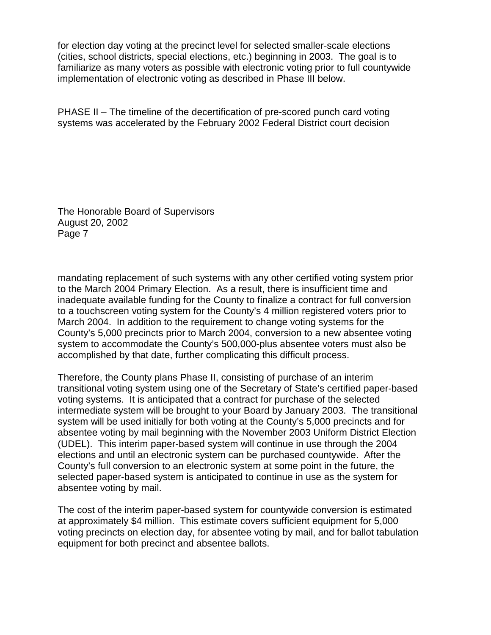for election day voting at the precinct level for selected smaller-scale elections (cities, school districts, special elections, etc.) beginning in 2003. The goal is to familiarize as many voters as possible with electronic voting prior to full countywide implementation of electronic voting as described in Phase III below.

PHASE II – The timeline of the decertification of pre-scored punch card voting systems was accelerated by the February 2002 Federal District court decision

The Honorable Board of Supervisors August 20, 2002 Page 7

mandating replacement of such systems with any other certified voting system prior to the March 2004 Primary Election. As a result, there is insufficient time and inadequate available funding for the County to finalize a contract for full conversion to a touchscreen voting system for the County's 4 million registered voters prior to March 2004. In addition to the requirement to change voting systems for the County's 5,000 precincts prior to March 2004, conversion to a new absentee voting system to accommodate the County's 500,000-plus absentee voters must also be accomplished by that date, further complicating this difficult process.

Therefore, the County plans Phase II, consisting of purchase of an interim transitional voting system using one of the Secretary of State's certified paper-based voting systems. It is anticipated that a contract for purchase of the selected intermediate system will be brought to your Board by January 2003. The transitional system will be used initially for both voting at the County's 5,000 precincts and for absentee voting by mail beginning with the November 2003 Uniform District Election (UDEL). This interim paper-based system will continue in use through the 2004 elections and until an electronic system can be purchased countywide. After the County's full conversion to an electronic system at some point in the future, the selected paper-based system is anticipated to continue in use as the system for absentee voting by mail.

The cost of the interim paper-based system for countywide conversion is estimated at approximately \$4 million. This estimate covers sufficient equipment for 5,000 voting precincts on election day, for absentee voting by mail, and for ballot tabulation equipment for both precinct and absentee ballots.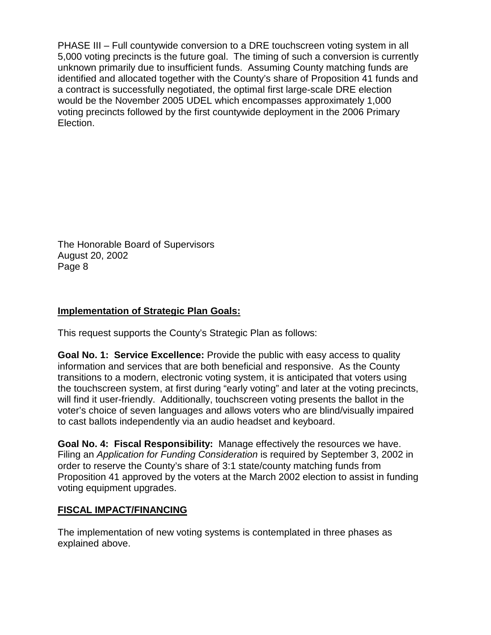PHASE III – Full countywide conversion to a DRE touchscreen voting system in all 5,000 voting precincts is the future goal. The timing of such a conversion is currently unknown primarily due to insufficient funds. Assuming County matching funds are identified and allocated together with the County's share of Proposition 41 funds and a contract is successfully negotiated, the optimal first large-scale DRE election would be the November 2005 UDEL which encompasses approximately 1,000 voting precincts followed by the first countywide deployment in the 2006 Primary Election.

The Honorable Board of Supervisors August 20, 2002 Page 8

#### **Implementation of Strategic Plan Goals:**

This request supports the County's Strategic Plan as follows:

**Goal No. 1: Service Excellence:** Provide the public with easy access to quality information and services that are both beneficial and responsive. As the County transitions to a modern, electronic voting system, it is anticipated that voters using the touchscreen system, at first during "early voting" and later at the voting precincts, will find it user-friendly. Additionally, touchscreen voting presents the ballot in the voter's choice of seven languages and allows voters who are blind/visually impaired to cast ballots independently via an audio headset and keyboard.

**Goal No. 4: Fiscal Responsibility:** Manage effectively the resources we have. Filing an *Application for Funding Consideration* is required by September 3, 2002 in order to reserve the County's share of 3:1 state/county matching funds from Proposition 41 approved by the voters at the March 2002 election to assist in funding voting equipment upgrades.

#### **FISCAL IMPACT/FINANCING**

The implementation of new voting systems is contemplated in three phases as explained above.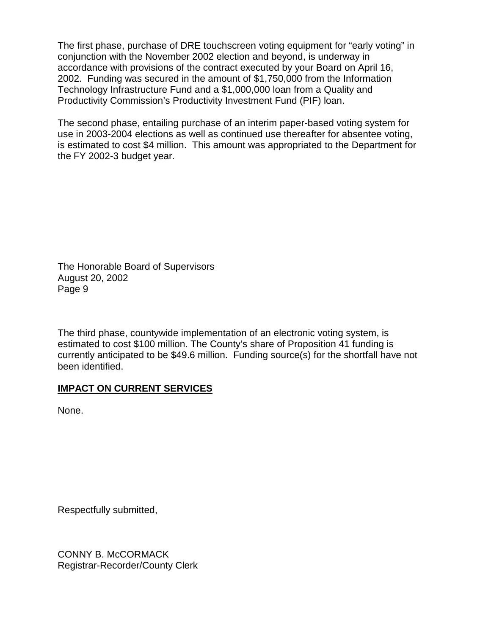The first phase, purchase of DRE touchscreen voting equipment for "early voting" in conjunction with the November 2002 election and beyond, is underway in accordance with provisions of the contract executed by your Board on April 16, 2002. Funding was secured in the amount of \$1,750,000 from the Information Technology Infrastructure Fund and a \$1,000,000 loan from a Quality and Productivity Commission's Productivity Investment Fund (PIF) loan.

The second phase, entailing purchase of an interim paper-based voting system for use in 2003-2004 elections as well as continued use thereafter for absentee voting, is estimated to cost \$4 million. This amount was appropriated to the Department for the FY 2002-3 budget year.

The Honorable Board of Supervisors August 20, 2002 Page 9

The third phase, countywide implementation of an electronic voting system, is estimated to cost \$100 million. The County's share of Proposition 41 funding is currently anticipated to be \$49.6 million. Funding source(s) for the shortfall have not been identified.

## **IMPACT ON CURRENT SERVICES**

None.

Respectfully submitted,

CONNY B. McCORMACK Registrar-Recorder/County Clerk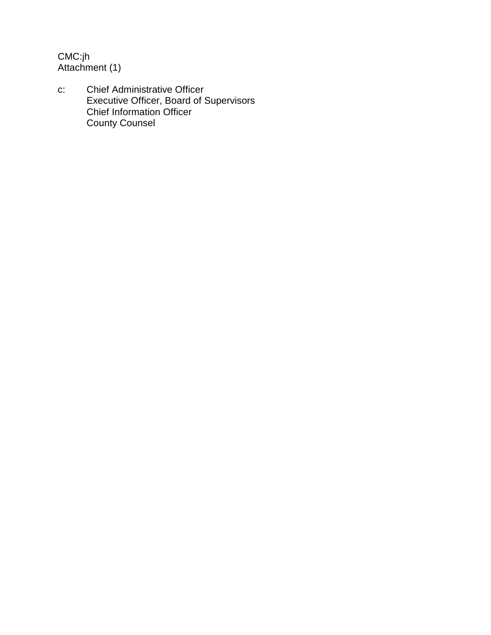CMC:jh Attachment (1)

c: Chief Administrative Officer Executive Officer, Board of Supervisors Chief Information Officer County Counsel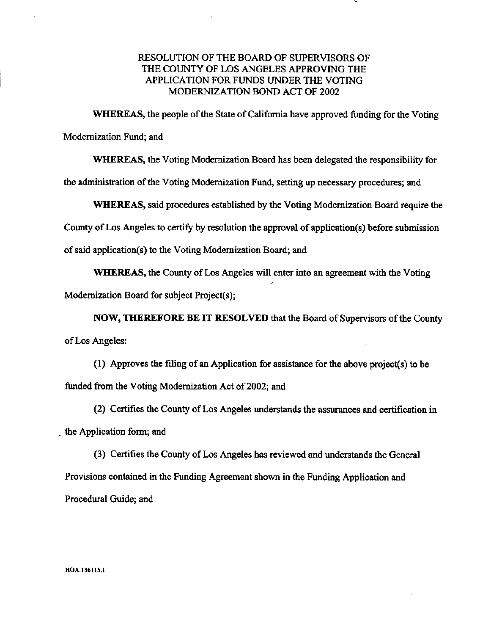#### RESOLUTION OF THE BOARD OF SUPERVISORS OF THE COUNTY OF LOS ANGELES APPROVING THE APPLICATION FOR FUNDS UNDER THE VOTING MODERNIZATION BOND ACT OF 2002

WHEREAS, the people of the State of California have approved funding for the Voting Modernization Fund; and

WHEREAS, the Voting Modernization Board has been delegated the responsibility for the administration of the Voting Modernization Fund, setting up necessary procedures; and

WHEREAS, said procedures established by the Voting Modernization Board require the

County of Los Angeles to certify by resolution the approval of application(s) before submission

of said application(s) to the Voting Modernization Board; and

WHEREAS, the County of Los Angeles will enter into an agreement with the Voting Modernization Board for subject Project(s);

NOW, THEREFORE BE IT RESOLVED that the Board of Supervisors of the County of Los Angeles:

(1) Approves the filing of an Application for assistance for the above project(s) to be funded from the Voting Modernization Act of 2002; and

(2) Certifies the County of Los Angeles understands the assurances and certification in the Application form; and

(3) Certifies the County of Los Angeles has reviewed and understands the General Provisions contained in the Funding Agreement shown in the Funding Application and Procedural Guide; and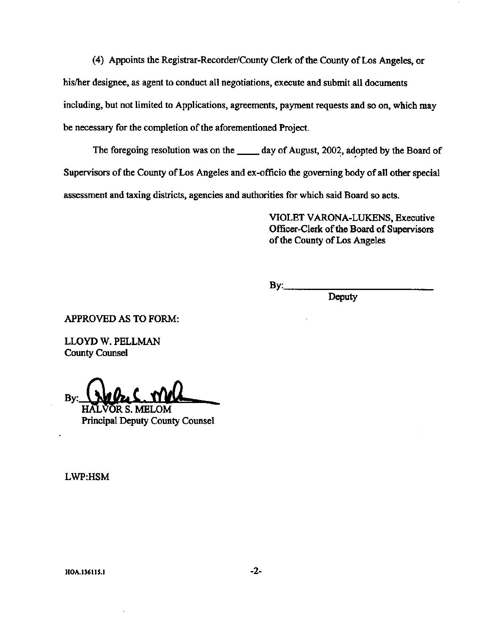(4) Appoints the Registrar-Recorder/County Clerk of the County of Los Angeles, or his/her designee, as agent to conduct all negotiations, execute and submit all documents including, but not limited to Applications, agreements, payment requests and so on, which may be necessary for the completion of the aforementioned Project.

The foregoing resolution was on the \_\_\_\_\_\_ day of August, 2002, adopted by the Board of Supervisors of the County of Los Angeles and ex-officio the governing body of all other special assessment and taxing districts, agencies and authorities for which said Board so acts.

> VIOLET VARONA-LUKENS, Executive Officer-Clerk of the Board of Supervisors of the County of Los Angeles

 $By:$ 

Deputy

**APPROVED AS TO FORM:** 

LLOYD W. PELLMAN **County Counsel** 

Bν

'OR S. MELOM **Principal Deputy County Counsel** 

LWP:HSM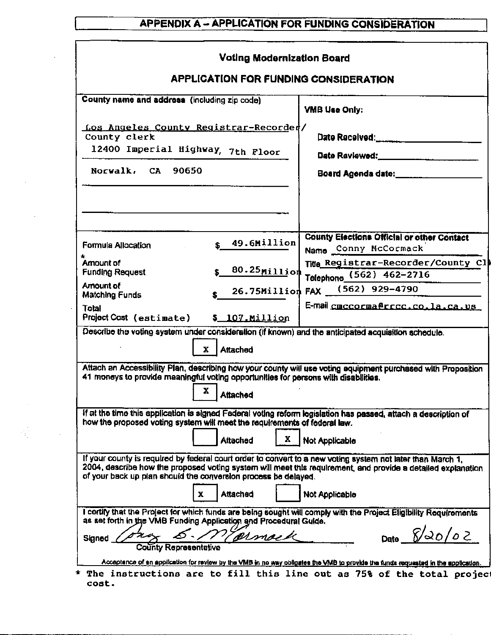# **APPENDIX A - APPLICATION FOR FUNDING CONSIDERATION**

| <b>Voting Modernization Board</b>                                                                                                                                                                                                                                                             |                                                                           |
|-----------------------------------------------------------------------------------------------------------------------------------------------------------------------------------------------------------------------------------------------------------------------------------------------|---------------------------------------------------------------------------|
| <b>APPLICATION FOR FUNDING CONSIDERATION</b>                                                                                                                                                                                                                                                  |                                                                           |
| County name and address (including zip code)                                                                                                                                                                                                                                                  | VMB Use Only:                                                             |
| Los Angeles County Registrar-Recorded/<br>County clerk<br>12400 Imperial Highway, 7th Floor                                                                                                                                                                                                   | Date Received: ____________________                                       |
| Norwalk, CA 90650                                                                                                                                                                                                                                                                             | Date Reviewed: _______________________<br>Board Agenda date: __________   |
|                                                                                                                                                                                                                                                                                               |                                                                           |
| 49.6Million<br>$\mathbf{s}$<br>Formula Allocation<br>$\star$                                                                                                                                                                                                                                  | <b>County Elections Official or other Contact</b><br>Name Conny McCormack |
| Amount of<br>80.25 Million<br><b>Funding Request</b>                                                                                                                                                                                                                                          | Title Registrar-Recorder/County Cl<br>Telephone (562) 462-2716            |
| Amount of<br>Matching Funds                                                                                                                                                                                                                                                                   | 26.75Million FAX (562) 929-4790                                           |
| Total<br>Project Cost (estimate) \$ 107. Million                                                                                                                                                                                                                                              | E-mail cnccorna@rrcc.co.la.ca.us                                          |
| Describe the voting system under consideration (if known) and the anticipated acquisition schedule.<br>Attached<br>x.                                                                                                                                                                         |                                                                           |
| Attach an Accessibility Plan, describing how your county will use voting equipment purchased with Proposition<br>41 moneys to provide meaningful voting opportunities for persons with disabilities.<br>x<br>Attached                                                                         |                                                                           |
| if at the time this application is signed Federal voting reform legislation has passed, attach a description of<br>how the proposed voting system will meet the requirements of federal law.                                                                                                  |                                                                           |
| X.<br><b>Attached</b>                                                                                                                                                                                                                                                                         | <b>Not Applicable</b>                                                     |
| If your county is required by federal court order to convert to a new voting system not later than March 1,<br>2004, describe how the proposed voting system will meet this requirement, and provide a detailed explanation<br>of your back up plan should the conversion process be delayed. |                                                                           |
| Attached                                                                                                                                                                                                                                                                                      | Not Applicable                                                            |
| I certify that the Project for which funds are being sought will comply with the Project Eligibility Requirements<br>as set forth in the VMB Funding Application and Procedural Guide.                                                                                                        |                                                                           |
| Varmock<br>Signed<br>County Representative                                                                                                                                                                                                                                                    | Date $8/20/02$                                                            |
| Acceptance of an application for review by the VMB in no way obligates the VMB to provide the funds requested in the application.                                                                                                                                                             |                                                                           |
| The instructions are to fill this line out as 75% of the total projec<br>cost.                                                                                                                                                                                                                |                                                                           |

l,

第二章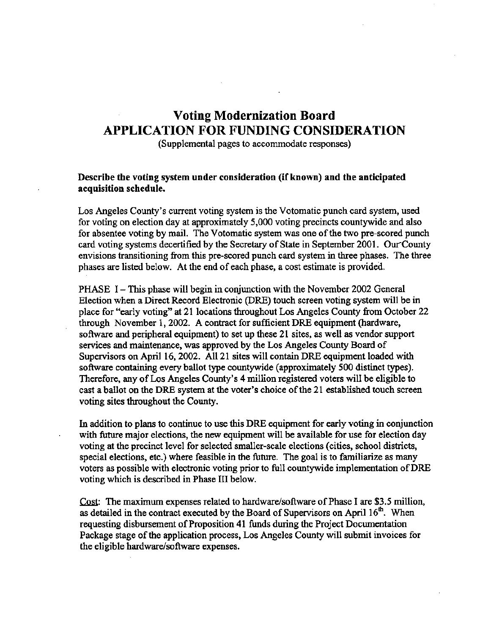## **Voting Modernization Board** APPLICATION FOR FUNDING CONSIDERATION

(Supplemental pages to accommodate responses)

#### Describe the voting system under consideration (if known) and the anticipated acquisition schedule.

Los Angeles County's current voting system is the Votomatic punch card system, used for voting on election day at approximately 5,000 voting precincts countywide and also for absentee voting by mail. The Votomatic system was one of the two pre-scored punch card voting systems decertified by the Secretary of State in September 2001. Our County envisions transitioning from this pre-scored punch card system in three phases. The three phases are listed below. At the end of each phase, a cost estimate is provided.

PHASE 1 – This phase will begin in conjunction with the November 2002 General Election when a Direct Record Electronic (DRE) touch screen voting system will be in place for "early voting" at 21 locations throughout Los Angeles County from October 22 through November 1, 2002. A contract for sufficient DRE equipment (hardware, software and peripheral equipment) to set up these 21 sites, as well as vendor support services and maintenance, was approved by the Los Angeles County Board of Supervisors on April 16, 2002. All 21 sites will contain DRE equipment loaded with software containing every ballot type countywide (approximately 500 distinct types). Therefore, any of Los Angeles County's 4 million registered voters will be eligible to cast a ballot on the DRE system at the voter's choice of the 21 established touch screen voting sites throughout the County.

In addition to plans to continue to use this DRE equipment for early voting in conjunction with future major elections, the new equipment will be available for use for election day voting at the precinct level for selected smaller-scale elections (cities, school districts, special elections, etc.) where feasible in the future. The goal is to familiarize as many voters as possible with electronic voting prior to full countywide implementation of DRE voting which is described in Phase III below.

Cost: The maximum expenses related to hardware/software of Phase I are \$3.5 million, as detailed in the contract executed by the Board of Supervisors on April 16<sup>th</sup>. When requesting disbursement of Proposition 41 funds during the Project Documentation Package stage of the application process, Los Angeles County will submit invoices for the eligible hardware/software expenses.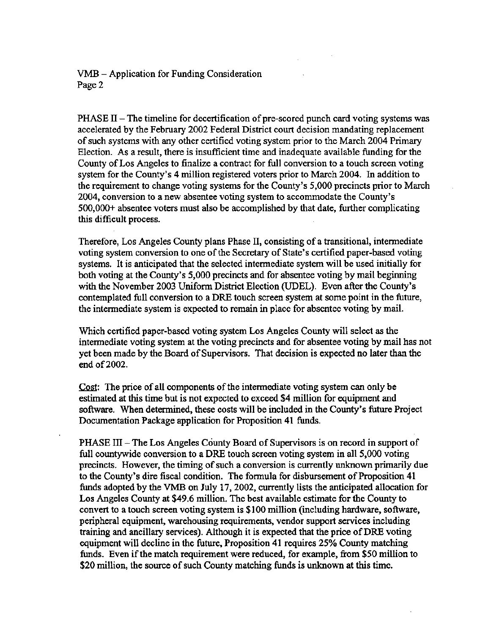VMB - Application for Funding Consideration Page 2

 $PHASE II$  – The timeline for decertification of pre-scored punch card voting systems was accelerated by the February 2002 Federal District court decision mandating replacement of such systems with any other certified voting system prior to the March 2004 Primary Election. As a result, there is insufficient time and inadequate available funding for the County of Los Angeles to finalize a contract for full conversion to a touch screen voting system for the County's 4 million registered voters prior to March 2004. In addition to the requirement to change voting systems for the County's 5,000 precincts prior to March 2004, conversion to a new absentee voting system to accommodate the County's  $500,000+$  absentee voters must also be accomplished by that date, further complicating this difficult process.

Therefore, Los Angeles County plans Phase II, consisting of a transitional, intermediate voting system conversion to one of the Secretary of State's certified paper-based voting systems. It is anticipated that the selected intermediate system will be used initially for both voting at the County's 5,000 precincts and for absentee voting by mail beginning with the November 2003 Uniform District Election (UDEL). Even after the County's contemplated full conversion to a DRE touch screen system at some point in the future, the intermediate system is expected to remain in place for absentee voting by mail.

Which certified paper-based voting system Los Angeles County will select as the intermediate voting system at the voting precincts and for absentee voting by mail has not vet been made by the Board of Supervisors. That decision is expected no later than the end of 2002.

Cost: The price of all components of the intermediate voting system can only be estimated at this time but is not expected to exceed \$4 million for equipment and software. When determined, these costs will be included in the County's future Project Documentation Package application for Proposition 41 funds.

PHASE III – The Los Angeles County Board of Supervisors is on record in support of full countywide conversion to a DRE touch screen voting system in all 5,000 voting precincts. However, the timing of such a conversion is currently unknown primarily due to the County's dire fiscal condition. The formula for disbursement of Proposition 41 funds adopted by the VMB on July 17, 2002, currently lists the anticipated allocation for Los Angeles County at \$49.6 million. The best available estimate for the County to convert to a touch screen voting system is \$100 million (including hardware, software, peripheral equipment, warehousing requirements, vendor support services including training and ancillary services). Although it is expected that the price of DRE voting equipment will decline in the future, Proposition 41 requires 25% County matching funds. Even if the match requirement were reduced, for example, from \$50 million to \$20 million, the source of such County matching funds is unknown at this time.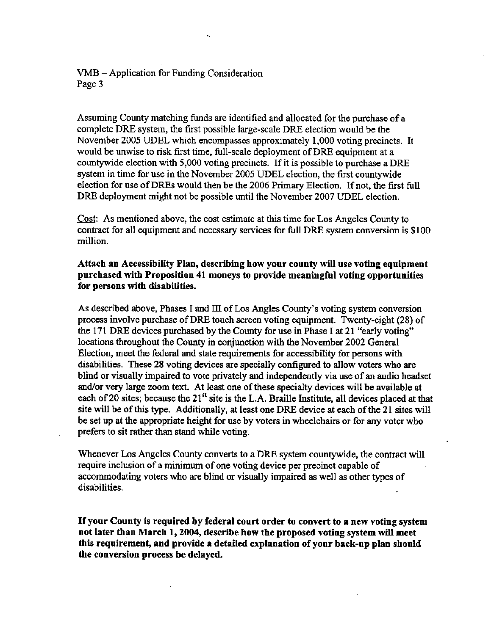#### $VMB - Application$  for Funding Consideration Page 3

Assuming County matching funds are identified and allocated for the purchase of a complete DRE system, the first possible large-scale DRE election would be the November 2005 UDEL which encompasses approximately 1,000 voting precincts. It would be unwise to risk first time, full-scale deployment of DRE equipment at a countywide election with 5,000 voting precincts. If it is possible to purchase a DRE system in time for use in the November 2005 UDEL election, the first countywide election for use of DREs would then be the 2006 Primary Election. If not, the first full DRE deployment might not be possible until the November 2007 UDEL election.

Cost: As mentioned above, the cost estimate at this time for Los Angeles County to contract for all equipment and necessary services for full DRE system conversion is \$100 million.

#### Attach an Accessibility Plan, describing how your county will use voting equipment purchased with Proposition 41 moneys to provide meaningful voting opportunities for persons with disabilities.

As described above, Phases I and III of Los Angles County's voting system conversion process involve purchase of DRE touch screen voting equipment. Twenty-eight (28) of the 171 DRE devices purchased by the County for use in Phase I at 21 "early voting" locations throughout the County in conjunction with the November 2002 General Election, meet the federal and state requirements for accessibility for persons with disabilities. These 28 voting devices are specially configured to allow voters who are blind or visually impaired to vote privately and independently via use of an audio headset and/or very large zoom text. At least one of these specialty devices will be available at each of 20 sites; because the 21<sup>st</sup> site is the L.A. Braille Institute, all devices placed at that site will be of this type. Additionally, at least one DRE device at each of the 21 sites will be set up at the appropriate height for use by voters in wheelchairs or for any voter who prefers to sit rather than stand while voting.

Whenever Los Angeles County converts to a DRE system countywide, the contract will require inclusion of a minimum of one voting device per precinct capable of accommodating voters who are blind or visually impaired as well as other types of disabilities.

If your County is required by federal court order to convert to a new voting system not later than March 1, 2004, describe how the proposed voting system will meet this requirement, and provide a detailed explanation of your back-up plan should the conversion process be delayed.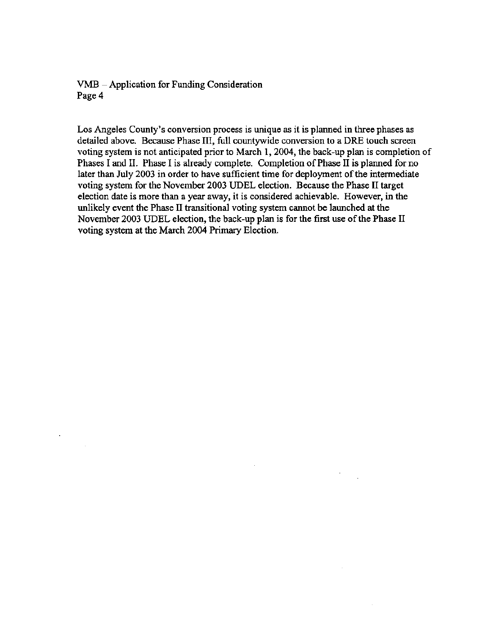VMB - Application for Funding Consideration Page 4

 $\lambda$ 

 $\bar{z}$ 

Los Angeles County's conversion process is unique as it is planned in three phases as detailed above. Because Phase III, full countywide conversion to a DRE touch screen voting system is not anticipated prior to March 1, 2004, the back-up plan is completion of Phases I and II. Phase I is already complete. Completion of Phase II is planned for no later than July 2003 in order to have sufficient time for deployment of the intermediate voting system for the November 2003 UDEL election. Because the Phase II target election date is more than a year away, it is considered achievable. However, in the unlikely event the Phase II transitional voting system cannot be launched at the November 2003 UDEL election, the back-up plan is for the first use of the Phase II voting system at the March 2004 Primary Election.

 $\mathcal{A}^{\mathcal{A}}$ 

 $\bar{z}$ 

 $\mathcal{L}$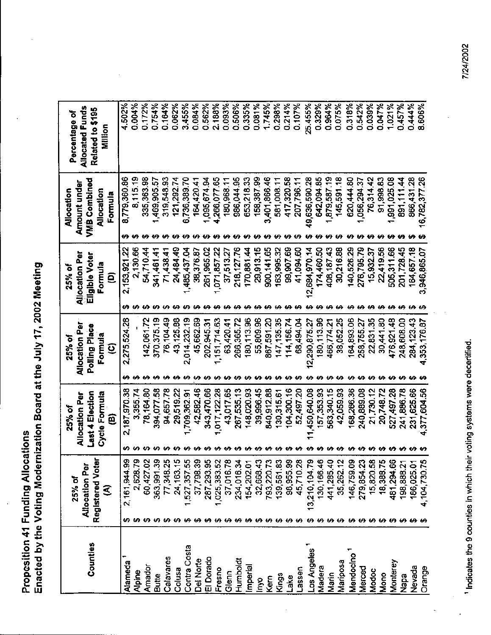Propesition 41 Funding Allocations<br>Enacted by the Voting Modernization Board at the July 17, 2002 Meeting

| Counties     | Registered Voter<br><b>Allocation Per</b><br>25% of<br>℥ |                    | <b>Last 4 Election</b><br>Cycle Formula<br>Allocation Per<br>25% of<br>ê |         | <b>Allocation Per</b><br>Polling Place<br>Formula<br>25% of<br>$\boldsymbol{\widehat{\mathsf{e}}}$ | <b>Allocation Per</b><br>Eligible Voter<br>Formula<br>25% of<br>Θ | VMB Combined<br>Amount under<br>Allocation<br>Allocation<br>Formula |              | <b>Allocated Funds</b><br>Related to \$195<br>Percentage of<br><b>Million</b> |
|--------------|----------------------------------------------------------|--------------------|--------------------------------------------------------------------------|---------|----------------------------------------------------------------------------------------------------|-------------------------------------------------------------------|---------------------------------------------------------------------|--------------|-------------------------------------------------------------------------------|
| Alameda      | 2,161,944.99                                             |                    | 2,187,970.38                                                             |         | 2,275,524.28                                                                                       | 2,153,921.22                                                      |                                                                     | 8,779,360.86 | 4.502%                                                                        |
| Alpine       | 2,628.79                                                 |                    | 3,355.74                                                                 |         |                                                                                                    | 2,130.66                                                          |                                                                     | 8,115.19     | 0.004%                                                                        |
| Amador       | 60,427.02                                                |                    | 78,164.80                                                                |         | 142,061.72                                                                                         | 54,710.44                                                         |                                                                     | 335,363.98   | 0.172%                                                                        |
| <b>Butte</b> | 363,991.39                                               |                    | 394,077.58                                                               |         | 370, 375.19                                                                                        | 341,461.41                                                        |                                                                     | 1,469,905.57 | 0.754%                                                                        |
| Calavares    | 77,348.25                                                |                    | 94,657.78                                                                |         | 76,104.49                                                                                          | 71,438.41                                                         |                                                                     | 319,548.93   | 0.164%                                                                        |
| Colusa       | 24, 163. 15                                              |                    | 29,519.22                                                                | ₩       | 43,125.88                                                                                          | 24,484.49                                                         |                                                                     | 121,292.74   | 0.062%                                                                        |
| Contra Costa | 1,527,357.55                                             |                    | ,709,362.91                                                              |         | 2,014,232.19                                                                                       | 1,485,437.04                                                      |                                                                     | 6,736,389.70 | 3.455%                                                                        |
| Del Norte    | 37,798.39                                                |                    | 42,582.46                                                                |         | 45,662.69                                                                                          | 38,376.87                                                         |                                                                     | 164,420.41   | 0.084%                                                                        |
| El Dorado    | 287,293.95                                               |                    | 343,470.66                                                               |         | 202,945.31                                                                                         | 261,965.02                                                        |                                                                     | 1,095,674.94 | 0.562%                                                                        |
| Fresno       | 1,025,383.52                                             |                    | 1,017,122.28                                                             |         | 151,714.63                                                                                         | 071,857.22                                                        |                                                                     | 4,266,077.65 | 2.188%                                                                        |
| Glenn        | 37,016.78                                                |                    | 43,017.65                                                                |         | 63,420.41                                                                                          | 37,513.27                                                         |                                                                     | 180,968.11   | 0.093%                                                                        |
| Humboldt     | 234,016.34                                               |                    | 267,535.13                                                               |         | 266,365.72                                                                                         | 218, 127.76                                                       |                                                                     | 986,044.95   | 0.506%                                                                        |
| Imperial     | 154,202.01                                               |                    | 148,020.93                                                               |         | 180,113.96                                                                                         | 170,881.44                                                        |                                                                     | 653,218.33   | 0.335%                                                                        |
| lnyo         | 32,668.43                                                |                    | 39,996.45                                                                |         | 55,809.96                                                                                          | 29,913.15                                                         |                                                                     | 158,387.99   | 0.081%                                                                        |
| Kern         | 793,220.73                                               |                    | 840,912.88                                                               |         | 867,591.20                                                                                         | 900,141.65                                                        |                                                                     | 3,401,866.46 | 1.745%                                                                        |
| Kings        | 139,561.83                                               |                    | 130,315.61                                                               |         | 147,135.35                                                                                         | 163,995.32                                                        |                                                                     | 581,008.11   | 0.298%                                                                        |
| Lake         | 98,955.99                                                |                    | 04,300.16                                                                |         | 114,156.74                                                                                         | 99,907.69                                                         |                                                                     | 417,320.58   | 0.214%                                                                        |
| resser       | 45,710.28                                                |                    | 52,497.20                                                                |         | 68,494.04                                                                                          | 41,094.60                                                         |                                                                     | 207,796.11   | 0.107%                                                                        |
| Los Angeles  | 13,210,104.79                                            |                    | 450,640.08                                                               |         | 290,875.27<br>N                                                                                    | 684,970.14<br>$\bar{\mathbf{q}}$                                  | Ģ.                                                                  | 636,590.28   | 25.455%                                                                       |
| Madera       | 130,166.46                                               |                    | 157,353.93                                                               |         | 80,113.96                                                                                          | 174,460.50                                                        |                                                                     | 642,094.85   | 0.329%                                                                        |
| Marin        | 441,285.40                                               |                    | 563,340.15                                                               |         | 466,774.21                                                                                         | 408,187.43                                                        |                                                                     | 879,587.19   | 0.964%                                                                        |
| Mariposa     | 35,262.12                                                |                    | 42,059.93                                                                |         | 38,052.25                                                                                          | 30,216.88                                                         |                                                                     | 145,591.18   | 0.075%                                                                        |
| Mendocino    | 146,759.09                                               | u.                 | 168,266.36                                                               |         | 164,893.06                                                                                         | 140,526.29                                                        |                                                                     | 620,444.80   | 0.318%                                                                        |
| Merced       | 279,854.23                                               | ↮                  | 240,889.08                                                               |         | 258,755.27                                                                                         | 276,795.79                                                        |                                                                     | ,056,294.37  | 0.542%                                                                        |
| Modoc        | 15,820.58                                                | ÷                  | 21,730.12                                                                | ₩       | 22,831.35                                                                                          | 15,932.37                                                         |                                                                     | 76,314.42    | 0.039%                                                                        |
| Mono         | 18,388.75                                                |                    | 20,748.72                                                                | ₩       | 30,441.80                                                                                          | 22,419.56                                                         |                                                                     | 91,998.83    | 0.047%                                                                        |
| Monterey     | 481,294.66                                               |                    | 527,497.28                                                               |         | 476,921.48                                                                                         | 505,311.66<br>€A                                                  |                                                                     | 1,991,025.08 | 1.021%                                                                        |
| Napa         | 198,888.21<br>₩                                          | <b>00 00 00 00</b> | 241,886.78                                                               | မှာ မှာ | 248,608.00                                                                                         | 201,728.45<br>₩                                                   |                                                                     | 891,111.44   | 0.457%                                                                        |
| Nevada       | 186,025.01                                               |                    | 231,625.66                                                               |         | 284,123.43                                                                                         | 164,657.18                                                        |                                                                     | 866,431.28   | 0.444%                                                                        |
| Orange       | 4,104,730.75                                             |                    | 4,377,604.56                                                             |         | 4,353,176.87                                                                                       | 3,946,865.07                                                      | 16,782,377.26                                                       |              | 8.606%                                                                        |

 $\ddot{\phantom{a}}$